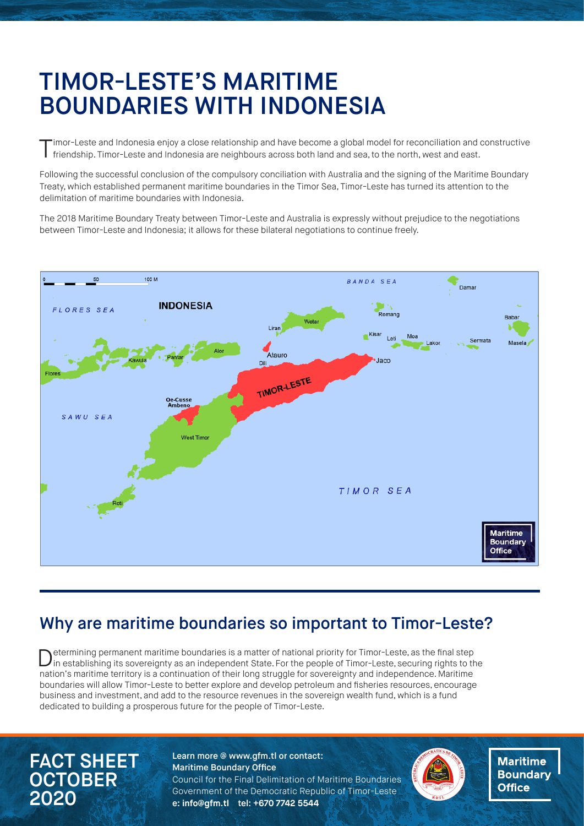# TIMOR-LESTE'S MARITIME BOUNDARIES WITH INDONESIA

imor-Leste and Indonesia enjoy a close relationship and have become a global model for reconciliation and constructive friendship. Timor-Leste and Indonesia are neighbours across both land and sea, to the north, west and east.

Following the successful conclusion of the compulsory conciliation with Australia and the signing of the Maritime Boundary Treaty, which established permanent maritime boundaries in the Timor Sea, Timor-Leste has turned its attention to the delimitation of maritime boundaries with Indonesia.

The 2018 Maritime Boundary Treaty between Timor-Leste and Australia is expressly without prejudice to the negotiations between Timor-Leste and Indonesia; it allows for these bilateral negotiations to continue freely.



## Why are maritime boundaries so important to Timor-Leste?

Determining permanent maritime boundaries is a matter of national priority for Timor-Leste, as the final step<br>in establishing its sovereignty as an independent State. For the people of Timor-Leste, securing rights to the nation's maritime territory is a continuation of their long struggle for sovereignty and independence. Maritime boundaries will allow Timor-Leste to better explore and develop petroleum and fisheries resources, encourage business and investment, and add to the resource revenues in the sovereign wealth fund, which is a fund dedicated to building a prosperous future for the people of Timor-Leste.

# FACT SHEET **OCTOBER** 2020

Learn more @ www.gfm.tl or contact: Maritime Boundary Office Council for the Final Delimitation of Maritime Boundaries Government of the Democratic Republic of Timor-Leste e**: info@gfm.tl** tel: **+670 7742 5544** 



**Maritime Boundary Office**